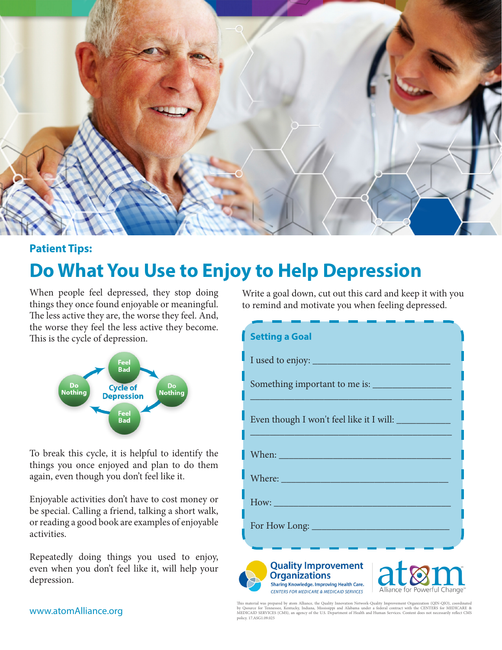

## **Patient Tips:**

## **Do What You Use to Enjoy to Help Depression**

When people feel depressed, they stop doing things they once found enjoyable or meaningful. The less active they are, the worse they feel. And, the worse they feel the less active they become. This is the cycle of depression.



To break this cycle, it is helpful to identify the things you once enjoyed and plan to do them again, even though you don't feel like it.

Enjoyable activities don't have to cost money or be special. Calling a friend, talking a short walk, or reading a good book are examples of enjoyable activities.

Repeatedly doing things you used to enjoy, even when you don't feel like it, will help your depression.

Write a goal down, cut out this card and keep it with you to remind and motivate you when feeling depressed.

| <b>Setting a Goal</b>                                                                                                                                                                                                               |
|-------------------------------------------------------------------------------------------------------------------------------------------------------------------------------------------------------------------------------------|
|                                                                                                                                                                                                                                     |
|                                                                                                                                                                                                                                     |
|                                                                                                                                                                                                                                     |
| Even though I won't feel like it I will: ____________                                                                                                                                                                               |
| <b>When:</b> When the contract of the contract of the contract of the contract of the contract of the contract of the contract of the contract of the contract of the contract of the contract of the contract of the contract of t |
|                                                                                                                                                                                                                                     |
|                                                                                                                                                                                                                                     |
|                                                                                                                                                                                                                                     |
|                                                                                                                                                                                                                                     |
| <b>Quality Improvement</b><br><b>Organizations</b><br><b>Sharing Knowledge. Improving Health Care.</b><br>Alliance for Powerful Change <sup>®</sup><br><b>CENTERS FOR MEDICARE &amp; MEDICAID SERVICES</b>                          |

This material was prepared by atom Alliance, the Quality Innovation Network-Quality Improvement Organization (QIN-QIO), coordinated<br>by Qsource for Tennessee, Kentucky, Indiana, Mississippi and Alabama under a federal contr